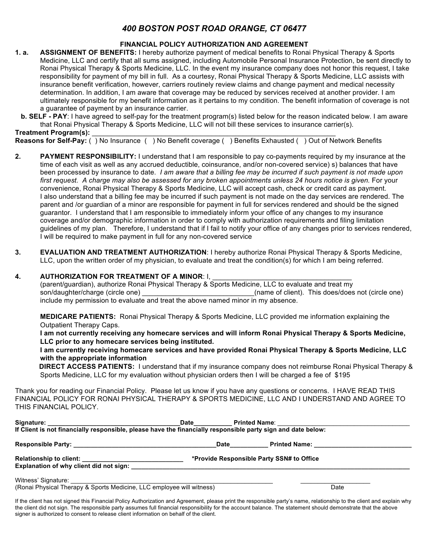## *400 BOSTON POST ROAD ORANGE, CT 06477*

## **FINANCIAL POLICY AUTHORIZATION AND AGREEMENT**

**1. a. ASSIGNMENT OF BENEFITS:** I hereby authorize payment of medical benefits to Ronai Physical Therapy & Sports Medicine, LLC and certify that all sums assigned, including Automobile Personal Insurance Protection, be sent directly to Ronai Physical Therapy & Sports Medicine, LLC. In the event my insurance company does not honor this request, I take responsibility for payment of my bill in full. As a courtesy, Ronai Physical Therapy & Sports Medicine, LLC assists with insurance benefit verification, however, carriers routinely review claims and change payment and medical necessity determination. In addition, I am aware that coverage may be reduced by services received at another provider. I am ultimately responsible for my benefit information as it pertains to my condition. The benefit information of coverage is not a guarantee of payment by an insurance carrier.

 **b. SELF - PAY**: I have agreed to self-pay for the treatment program(s) listed below for the reason indicated below. I am aware that Ronai Physical Therapy & Sports Medicine, LLC will not bill these services to insurance carrier(s).

**Treatment Program(s):** 

**Reasons for Self-Pay:** ( ) No Insurance ( ) No Benefit coverage ( ) Benefits Exhausted ( ) Out of Network Benefits

- **2. PAYMENT RESPONSIBILITY:** I understand that I am responsible to pay co-payments required by my insurance at the time of each visit as well as any accrued deductible, coinsurance, and/or non-covered service) s) balances that have been processed by insurance to date. *I am aware that a billing fee may be incurred if such payment is not made upon first request. A charge may also be assessed for any broken appointments unless 24 hours notice is given.* For your convenience, Ronai Physical Therapy & Sports Medicine, LLC will accept cash, check or credit card as payment. I also understand that a billing fee may be incurred if such payment is not made on the day services are rendered. The parent and /or guardian of a minor are responsible for payment in full for services rendered and should be the signed guarantor. I understand that I am responsible to immediately inform your office of any changes to my insurance coverage and/or demographic information in order to comply with authorization requirements and filing limitation guidelines of my plan. Therefore, I understand that if I fail to notify your office of any changes prior to services rendered, I will be required to make payment in full for any non-covered service
- **3. EVALUATION AND TREATMENT AUTHORIZATION**: I hereby authorize Ronai Physical Therapy & Sports Medicine, LLC, upon the written order of my physician, to evaluate and treat the condition(s) for which I am being referred.

## **4. AUTHORIZATION FOR TREATMENT OF A MINOR: I,**

(parent/guardian), authorize Ronai Physical Therapy & Sports Medicine, LLC to evaluate and treat my son/daughter/charge (circle one) example and the son-daughter/charge (circle one) and  $\epsilon$  (name of client). This does/does not (circle one) include my permission to evaluate and treat the above named minor in my absence.

 **MEDICARE PATIENTS:** Ronai Physical Therapy & Sports Medicine, LLC provided me information explaining the Outpatient Therapy Caps.

 **I am not currently receiving any homecare services and will inform Ronai Physical Therapy & Sports Medicine, LLC prior to any homecare services being instituted.**

 **I am currently receiving homecare services and have provided Ronai Physical Therapy & Sports Medicine, LLC with the appropriate information**

 **DIRECT ACCESS PATIENTS:** I understand that if my insurance company does not reimburse Ronai Physical Therapy & Sports Medicine, LLC for my evaluation without physician orders then I will be charged a fee of \$195

Thank you for reading our Financial Policy. Please let us know if you have any questions or concerns. I HAVE READ THIS FINANCIAL POLICY FOR RONAI PHYSICAL THERAPY & SPORTS MEDICINE, LLC AND I UNDERSTAND AND AGREE TO THIS FINANCIAL POLICY.

|                                                                                                              | <b>Date</b> |                                           |                                         |  |
|--------------------------------------------------------------------------------------------------------------|-------------|-------------------------------------------|-----------------------------------------|--|
| If Client is not financially responsible, please have the financially responsible party sign and date below: |             |                                           |                                         |  |
|                                                                                                              | Date        |                                           | Printed Name: <u>__________________</u> |  |
| Explanation of why client did not sign:                                                                      |             | *Provide Responsible Party SSN# to Office |                                         |  |
| Witness' Signature:<br>(Ronai Physical Therapy & Sports Medicine, LLC employee will witness)                 |             |                                           | Date                                    |  |

If the client has not signed this Financial Policy Authorization and Agreement, please print the responsible party's name, relationship to the client and explain why the client did not sign. The responsible party assumes full financial responsibility for the account balance. The statement should demonstrate that the above signer is authorized to consent to release client information on behalf of the client.